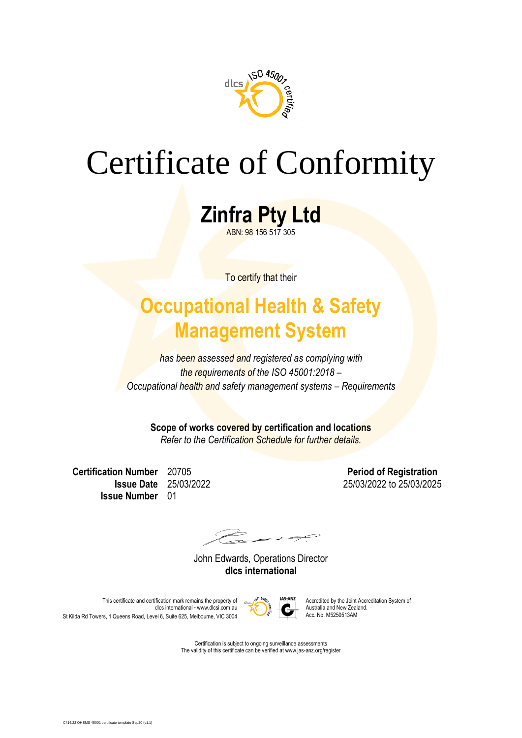

# Certificate of Conformity

**Zinfra Pty Ltd** ABN: 98 156 517 305

To certify that their

### **Occupational Health & Safety Management System**

*has been assessed and registered as complying with the requirements of the ISO 45001:2018 – Occupational health and safety management systems – Requirements*

**Scope of works covered by certification and locations**

*Refer to the Certification Schedule for further details.*

**Certification Number** 20705 **Period of Registration Issue Number** 01

**Issue Date** 25/03/2022 25/03/2022 25/03/2025

John Edwards, Operations Director **dlcs international**



This certificate and certification mark remains the property of  $\frac{1}{\sqrt{2}}$  MS-ANZ Accredited by the Joint Accreditation System of discredited by the Joint Accreditation System of dlcs international • www.dlcsi.com.au <br>australia and New Zealand New Zealand New Zealand New Zealand New Zealand.<br>Acc. No. M5250513AM St Kilda Rd Towers, 1 Queens Road, Level 6, Suite 625, Melbourne, VIC 3004

> Certification is subject to ongoing surveillance assessments The validity of this certificate can be verified at www.jas-anz.org/register